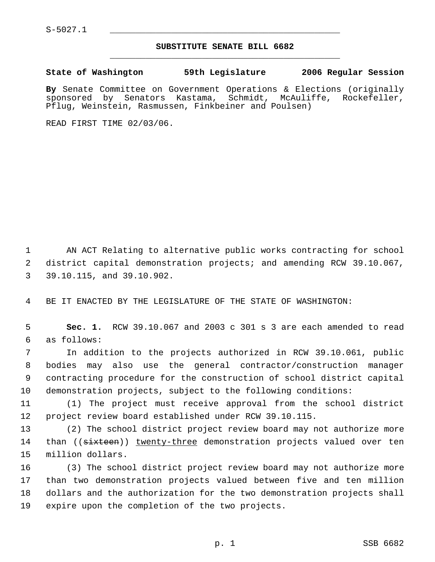S-5027.1 \_\_\_\_\_\_\_\_\_\_\_\_\_\_\_\_\_\_\_\_\_\_\_\_\_\_\_\_\_\_\_\_\_\_\_\_\_\_\_\_\_\_\_\_\_

## **SUBSTITUTE SENATE BILL 6682** \_\_\_\_\_\_\_\_\_\_\_\_\_\_\_\_\_\_\_\_\_\_\_\_\_\_\_\_\_\_\_\_\_\_\_\_\_\_\_\_\_\_\_\_\_

**State of Washington 59th Legislature 2006 Regular Session**

**By** Senate Committee on Government Operations & Elections (originally sponsored by Senators Kastama, Schmidt, McAuliffe, Rockefeller, Pflug, Weinstein, Rasmussen, Finkbeiner and Poulsen)

READ FIRST TIME 02/03/06.

 AN ACT Relating to alternative public works contracting for school district capital demonstration projects; and amending RCW 39.10.067, 39.10.115, and 39.10.902.

BE IT ENACTED BY THE LEGISLATURE OF THE STATE OF WASHINGTON:

 **Sec. 1.** RCW 39.10.067 and 2003 c 301 s 3 are each amended to read as follows:

 In addition to the projects authorized in RCW 39.10.061, public bodies may also use the general contractor/construction manager contracting procedure for the construction of school district capital demonstration projects, subject to the following conditions:

 (1) The project must receive approval from the school district project review board established under RCW 39.10.115.

 (2) The school district project review board may not authorize more 14 than ((sixteen)) twenty-three demonstration projects valued over ten million dollars.

 (3) The school district project review board may not authorize more than two demonstration projects valued between five and ten million dollars and the authorization for the two demonstration projects shall expire upon the completion of the two projects.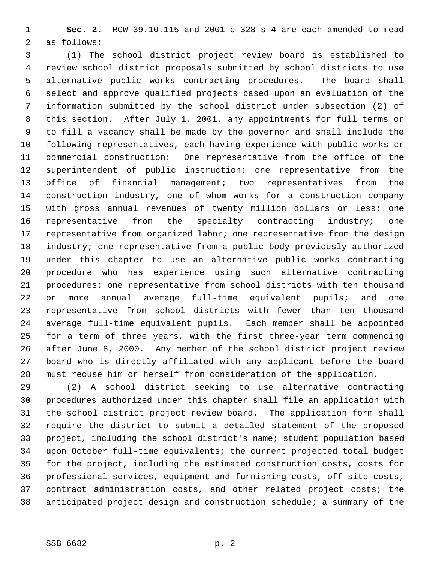**Sec. 2.** RCW 39.10.115 and 2001 c 328 s 4 are each amended to read as follows:

 (1) The school district project review board is established to review school district proposals submitted by school districts to use alternative public works contracting procedures. The board shall select and approve qualified projects based upon an evaluation of the information submitted by the school district under subsection (2) of this section. After July 1, 2001, any appointments for full terms or to fill a vacancy shall be made by the governor and shall include the following representatives, each having experience with public works or commercial construction: One representative from the office of the superintendent of public instruction; one representative from the office of financial management; two representatives from the construction industry, one of whom works for a construction company with gross annual revenues of twenty million dollars or less; one 16 representative from the specialty contracting industry; one 17 representative from organized labor; one representative from the design industry; one representative from a public body previously authorized under this chapter to use an alternative public works contracting procedure who has experience using such alternative contracting procedures; one representative from school districts with ten thousand or more annual average full-time equivalent pupils; and one representative from school districts with fewer than ten thousand average full-time equivalent pupils. Each member shall be appointed for a term of three years, with the first three-year term commencing after June 8, 2000. Any member of the school district project review board who is directly affiliated with any applicant before the board must recuse him or herself from consideration of the application.

 (2) A school district seeking to use alternative contracting procedures authorized under this chapter shall file an application with the school district project review board. The application form shall require the district to submit a detailed statement of the proposed project, including the school district's name; student population based upon October full-time equivalents; the current projected total budget for the project, including the estimated construction costs, costs for professional services, equipment and furnishing costs, off-site costs, contract administration costs, and other related project costs; the anticipated project design and construction schedule; a summary of the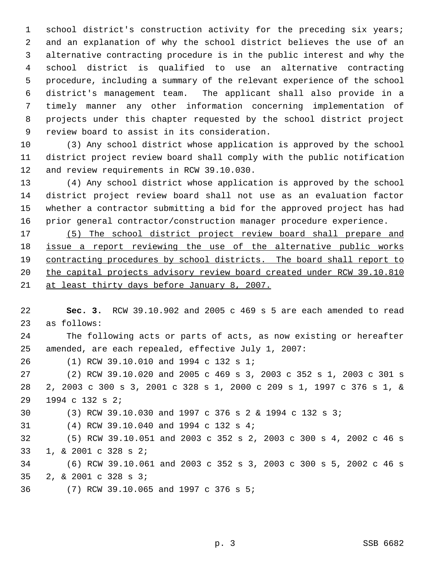school district's construction activity for the preceding six years; and an explanation of why the school district believes the use of an alternative contracting procedure is in the public interest and why the school district is qualified to use an alternative contracting procedure, including a summary of the relevant experience of the school district's management team. The applicant shall also provide in a timely manner any other information concerning implementation of projects under this chapter requested by the school district project review board to assist in its consideration.

 (3) Any school district whose application is approved by the school district project review board shall comply with the public notification and review requirements in RCW 39.10.030.

 (4) Any school district whose application is approved by the school district project review board shall not use as an evaluation factor whether a contractor submitting a bid for the approved project has had prior general contractor/construction manager procedure experience.

 (5) The school district project review board shall prepare and 18 issue a report reviewing the use of the alternative public works contracting procedures by school districts. The board shall report to 20 the capital projects advisory review board created under RCW 39.10.810 21 at least thirty days before January 8, 2007.

 **Sec. 3.** RCW 39.10.902 and 2005 c 469 s 5 are each amended to read as follows: The following acts or parts of acts, as now existing or hereafter amended, are each repealed, effective July 1, 2007: (1) RCW 39.10.010 and 1994 c 132 s 1; (2) RCW 39.10.020 and 2005 c 469 s 3, 2003 c 352 s 1, 2003 c 301 s 2, 2003 c 300 s 3, 2001 c 328 s 1, 2000 c 209 s 1, 1997 c 376 s 1, & 1994 c 132 s 2; (3) RCW 39.10.030 and 1997 c 376 s 2 & 1994 c 132 s 3; (4) RCW 39.10.040 and 1994 c 132 s 4; (5) RCW 39.10.051 and 2003 c 352 s 2, 2003 c 300 s 4, 2002 c 46 s 1, & 2001 c 328 s 2; (6) RCW 39.10.061 and 2003 c 352 s 3, 2003 c 300 s 5, 2002 c 46 s 2, & 2001 c 328 s 3; (7) RCW 39.10.065 and 1997 c 376 s 5;